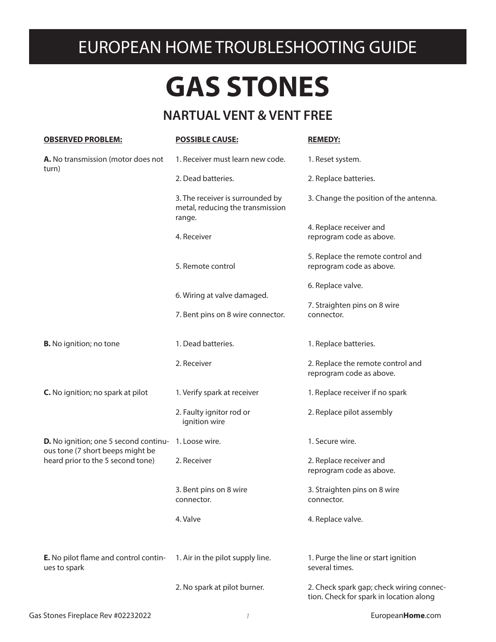## EUROPEAN HOME TROUBLESHOOTING GUIDE

## **GAS STONES**

## **NARTUAL VENT & VENT FREE**

| <b>OBSERVED PROBLEM:</b>                                                                                              | <b>POSSIBLE CAUSE:</b>                                                         | <b>REMEDY:</b>                                                                      |
|-----------------------------------------------------------------------------------------------------------------------|--------------------------------------------------------------------------------|-------------------------------------------------------------------------------------|
| A. No transmission (motor does not<br>turn)                                                                           | 1. Receiver must learn new code.                                               | 1. Reset system.                                                                    |
|                                                                                                                       | 2. Dead batteries.                                                             | 2. Replace batteries.                                                               |
|                                                                                                                       | 3. The receiver is surrounded by<br>metal, reducing the transmission<br>range. | 3. Change the position of the antenna.                                              |
|                                                                                                                       |                                                                                | 4. Replace receiver and                                                             |
|                                                                                                                       | 4. Receiver                                                                    | reprogram code as above.                                                            |
|                                                                                                                       |                                                                                | 5. Replace the remote control and                                                   |
|                                                                                                                       | 5. Remote control                                                              | reprogram code as above.                                                            |
|                                                                                                                       |                                                                                | 6. Replace valve.                                                                   |
|                                                                                                                       | 6. Wiring at valve damaged.                                                    | 7. Straighten pins on 8 wire                                                        |
|                                                                                                                       | 7. Bent pins on 8 wire connector.                                              | connector.                                                                          |
|                                                                                                                       |                                                                                |                                                                                     |
| <b>B.</b> No ignition; no tone                                                                                        | 1. Dead batteries.                                                             | 1. Replace batteries.                                                               |
|                                                                                                                       | 2. Receiver                                                                    | 2. Replace the remote control and<br>reprogram code as above.                       |
| C. No ignition; no spark at pilot                                                                                     | 1. Verify spark at receiver                                                    | 1. Replace receiver if no spark                                                     |
|                                                                                                                       | 2. Faulty ignitor rod or<br>ignition wire                                      | 2. Replace pilot assembly                                                           |
| <b>D.</b> No ignition; one 5 second continu-<br>ous tone (7 short beeps might be<br>heard prior to the 5 second tone) | 1. Loose wire.                                                                 | 1. Secure wire.                                                                     |
|                                                                                                                       | 2. Receiver                                                                    | 2. Replace receiver and<br>reprogram code as above.                                 |
|                                                                                                                       | 3. Bent pins on 8 wire<br>connector.                                           | 3. Straighten pins on 8 wire<br>connector.                                          |
|                                                                                                                       | 4. Valve                                                                       | 4. Replace valve.                                                                   |
|                                                                                                                       |                                                                                |                                                                                     |
| <b>E.</b> No pilot flame and control contin-<br>ues to spark                                                          | 1. Air in the pilot supply line.                                               | 1. Purge the line or start ignition<br>several times.                               |
|                                                                                                                       | 2. No spark at pilot burner.                                                   | 2. Check spark gap; check wiring connec-<br>tion. Check for spark in location along |